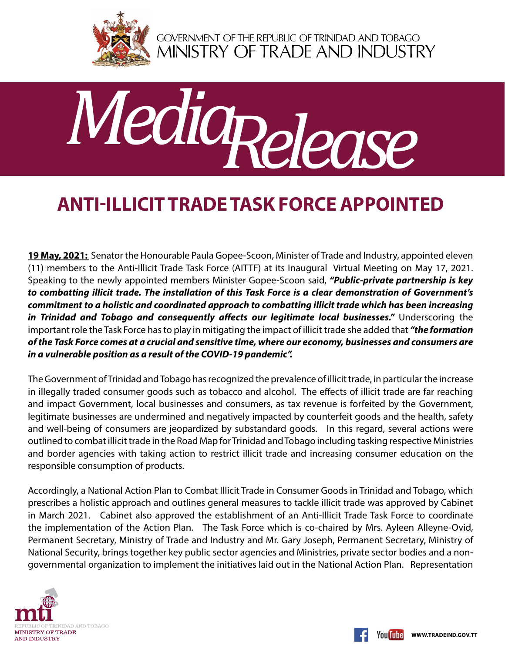

GOVERNMENT OF THE REPUBLIC OF TRINIDAD AND TOBAGO<br>MINISTRY OF TRADE AND INDUSTRY



## **Anti-Illicit Trade Task Force appointed**

**19 May, 2021:** Senator the Honourable Paula Gopee-Scoon, Minister of Trade and Industry, appointed eleven (11) members to the Anti-Illicit Trade Task Force (AITTF) at its Inaugural Virtual Meeting on May 17, 2021. Speaking to the newly appointed members Minister Gopee-Scoon said, *"Public-private partnership is key to combatting illicit trade. The installation of this Task Force is a clear demonstration of Government's commitment to a holistic and coordinated approach to combatting illicit trade which has been increasing*  in Trinidad and Tobago and consequently affects our legitimate local businesses." Underscoring the important role the Task Force has to play in mitigating the impact of illicit trade she added that *"the formation of the Task Force comes at a crucial and sensitive time, where our economy, businesses and consumers are in a vulnerable position as a result of the COVID-19 pandemic".*

The Government of Trinidad and Tobago has recognized the prevalence of illicit trade, in particular the increase in illegally traded consumer goods such as tobacco and alcohol. The effects of illicit trade are far reaching and impact Government, local businesses and consumers, as tax revenue is forfeited by the Government, legitimate businesses are undermined and negatively impacted by counterfeit goods and the health, safety and well-being of consumers are jeopardized by substandard goods. In this regard, several actions were outlined to combat illicit trade in the Road Map for Trinidad and Tobago including tasking respective Ministries and border agencies with taking action to restrict illicit trade and increasing consumer education on the responsible consumption of products.

Accordingly, a National Action Plan to Combat Illicit Trade in Consumer Goods in Trinidad and Tobago, which prescribes a holistic approach and outlines general measures to tackle illicit trade was approved by Cabinet in March 2021. Cabinet also approved the establishment of an Anti-Illicit Trade Task Force to coordinate the implementation of the Action Plan. The Task Force which is co-chaired by Mrs. Ayleen Alleyne-Ovid, Permanent Secretary, Ministry of Trade and Industry and Mr. Gary Joseph, Permanent Secretary, Ministry of National Security, brings together key public sector agencies and Ministries, private sector bodies and a nongovernmental organization to implement the initiatives laid out in the National Action Plan. Representation